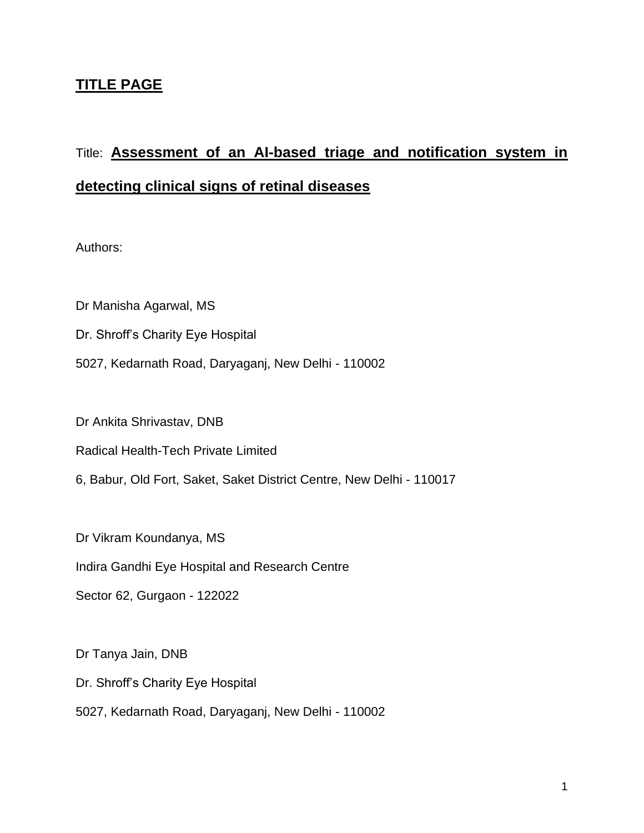## **TITLE PAGE**

# Title: **Assessment of an AI-based triage and notification system in detecting clinical signs of retinal diseases**

Authors:

Dr Manisha Agarwal, MS

Dr. Shroff's Charity Eye Hospital

5027, Kedarnath Road, Daryaganj, New Delhi - 110002

Dr Ankita Shrivastav, DNB

Radical Health-Tech Private Limited

6, Babur, Old Fort, Saket, Saket District Centre, New Delhi - 110017

Dr Vikram Koundanya, MS

Indira Gandhi Eye Hospital and Research Centre

Sector 62, Gurgaon - 122022

Dr Tanya Jain, DNB Dr. Shroff's Charity Eye Hospital 5027, Kedarnath Road, Daryaganj, New Delhi - 110002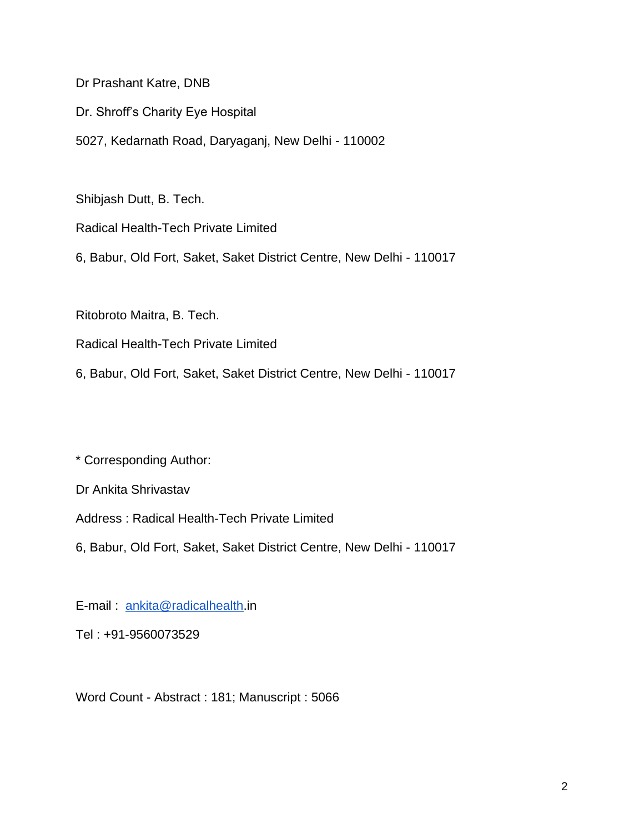Dr Prashant Katre, DNB

Dr. Shroff's Charity Eye Hospital

5027, Kedarnath Road, Daryaganj, New Delhi - 110002

Shibjash Dutt, B. Tech.

Radical Health-Tech Private Limited

6, Babur, Old Fort, Saket, Saket District Centre, New Delhi - 110017

Ritobroto Maitra, B. Tech.

Radical Health-Tech Private Limited

6, Babur, Old Fort, Saket, Saket District Centre, New Delhi - 110017

\* Corresponding Author:

Dr Ankita Shrivastav

Address : Radical Health-Tech Private Limited

6, Babur, Old Fort, Saket, Saket District Centre, New Delhi - 110017

E-mail : [ankita@radicalhealth.](mailto:ankita@radicalhealth.in)in

Tel : +91-9560073529

Word Count - Abstract : 181; Manuscript : 5066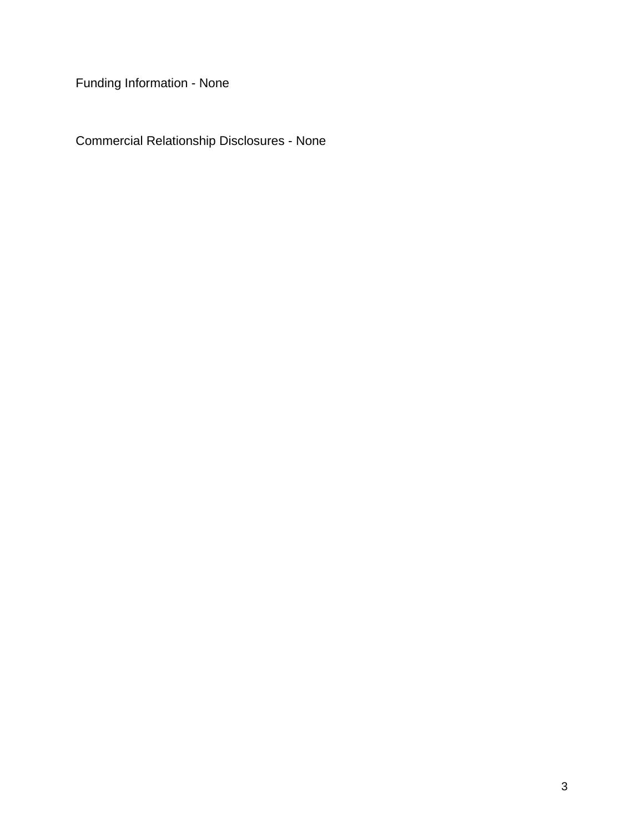Funding Information - None

Commercial Relationship Disclosures - None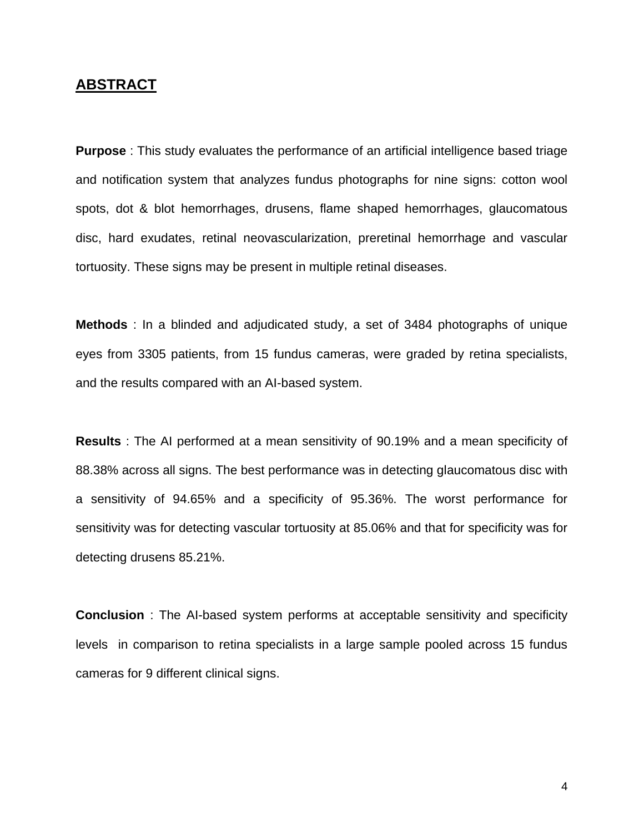## **ABSTRACT**

**Purpose** : This study evaluates the performance of an artificial intelligence based triage and notification system that analyzes fundus photographs for nine signs: cotton wool spots, dot & blot hemorrhages, drusens, flame shaped hemorrhages, glaucomatous disc, hard exudates, retinal neovascularization, preretinal hemorrhage and vascular tortuosity. These signs may be present in multiple retinal diseases.

**Methods** : In a blinded and adjudicated study, a set of 3484 photographs of unique eyes from 3305 patients, from 15 fundus cameras, were graded by retina specialists, and the results compared with an AI-based system.

**Results** : The AI performed at a mean sensitivity of 90.19% and a mean specificity of 88.38% across all signs. The best performance was in detecting glaucomatous disc with a sensitivity of 94.65% and a specificity of 95.36%. The worst performance for sensitivity was for detecting vascular tortuosity at 85.06% and that for specificity was for detecting drusens 85.21%.

**Conclusion** : The AI-based system performs at acceptable sensitivity and specificity levels in comparison to retina specialists in a large sample pooled across 15 fundus cameras for 9 different clinical signs.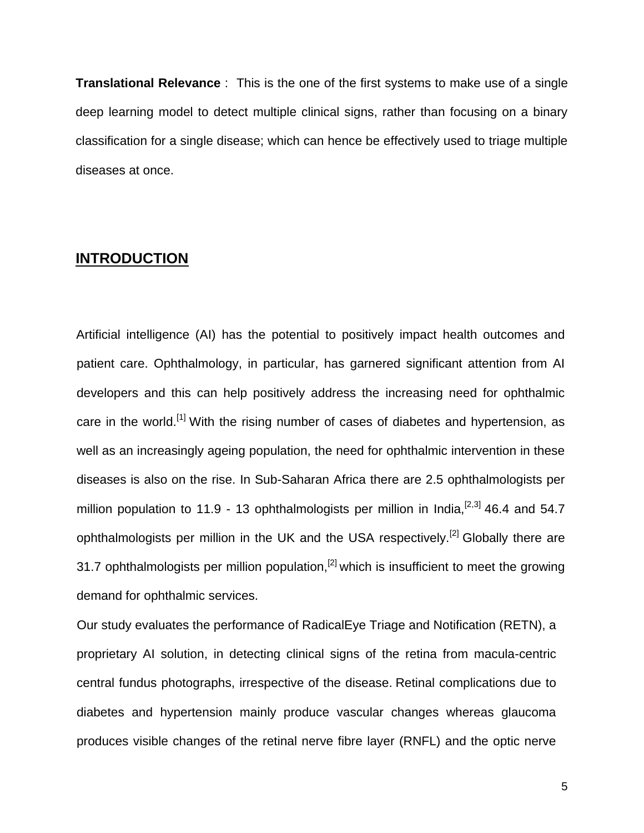**Translational Relevance** : This is the one of the first systems to make use of a single deep learning model to detect multiple clinical signs, rather than focusing on a binary classification for a single disease; which can hence be effectively used to triage multiple diseases at once.

## **INTRODUCTION**

Artificial intelligence (AI) has the potential to positively impact health outcomes and patient care. Ophthalmology, in particular, has garnered significant attention from AI developers and this can help positively address the increasing need for ophthalmic care in the world.<sup>[1]</sup> With the rising number of cases of diabetes and hypertension, as well as an increasingly ageing population, the need for ophthalmic intervention in these diseases is also on the rise. In Sub-Saharan Africa there are 2.5 ophthalmologists per million population to 11.9 - 13 ophthalmologists per million in India,  $[2,3]$  46.4 and 54.7 ophthalmologists per million in the UK and the USA respectively.<sup>[2]</sup> Globally there are 31.7 ophthalmologists per million population,<sup>[2]</sup> which is insufficient to meet the growing demand for ophthalmic services.

Our study evaluates the performance of RadicalEye Triage and Notification (RETN), a proprietary AI solution, in detecting clinical signs of the retina from macula-centric central fundus photographs, irrespective of the disease. Retinal complications due to diabetes and hypertension mainly produce vascular changes whereas glaucoma produces visible changes of the retinal nerve fibre layer (RNFL) and the optic nerve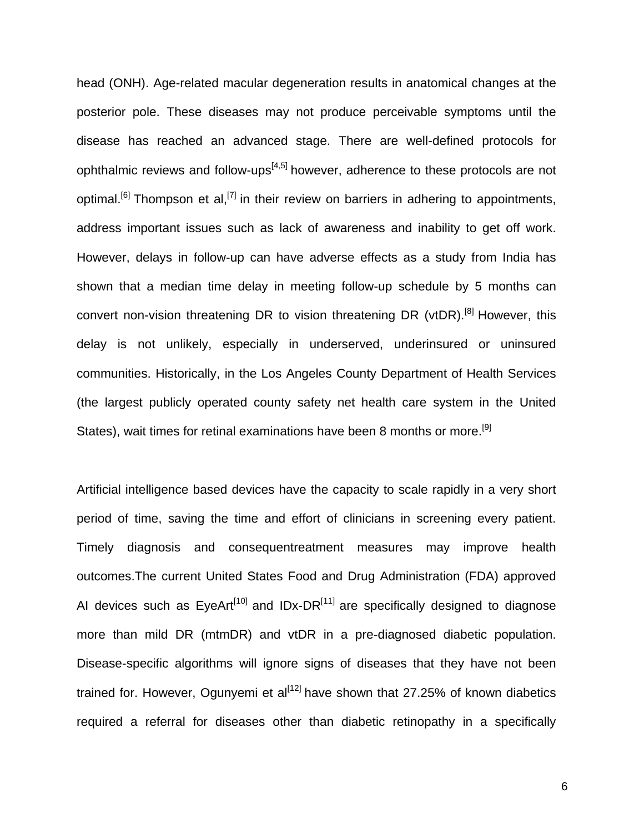head (ONH). Age-related macular degeneration results in anatomical changes at the posterior pole. These diseases may not produce perceivable symptoms until the disease has reached an advanced stage. There are well-defined protocols for ophthalmic reviews and follow-ups $[4,5]$  however, adherence to these protocols are not optimal.<sup>[6]</sup> Thompson et al,<sup>[7]</sup> in their review on barriers in adhering to appointments, address important issues such as lack of awareness and inability to get off work. However, delays in follow-up can have adverse effects as a study from India has shown that a median time delay in meeting follow-up schedule by 5 months can convert non-vision threatening DR to vision threatening DR (vtDR).<sup>[8]</sup> However, this delay is not unlikely, especially in underserved, underinsured or uninsured communities. Historically, in the Los Angeles County Department of Health Services (the largest publicly operated county safety net health care system in the United States), wait times for retinal examinations have been 8 months or more.<sup>[9]</sup>

Artificial intelligence based devices have the capacity to scale rapidly in a very short period of time, saving the time and effort of clinicians in screening every patient. Timely diagnosis and consequentreatment measures may improve health outcomes.The current United States Food and Drug Administration (FDA) approved AI devices such as  $EyeArt<sup>[10]</sup>$  and IDx-DR<sup>[11]</sup> are specifically designed to diagnose more than mild DR (mtmDR) and vtDR in a pre-diagnosed diabetic population. Disease-specific algorithms will ignore signs of diseases that they have not been trained for. However, Ogunyemi et  $al^{[12]}$  have shown that 27.25% of known diabetics required a referral for diseases other than diabetic retinopathy in a specifically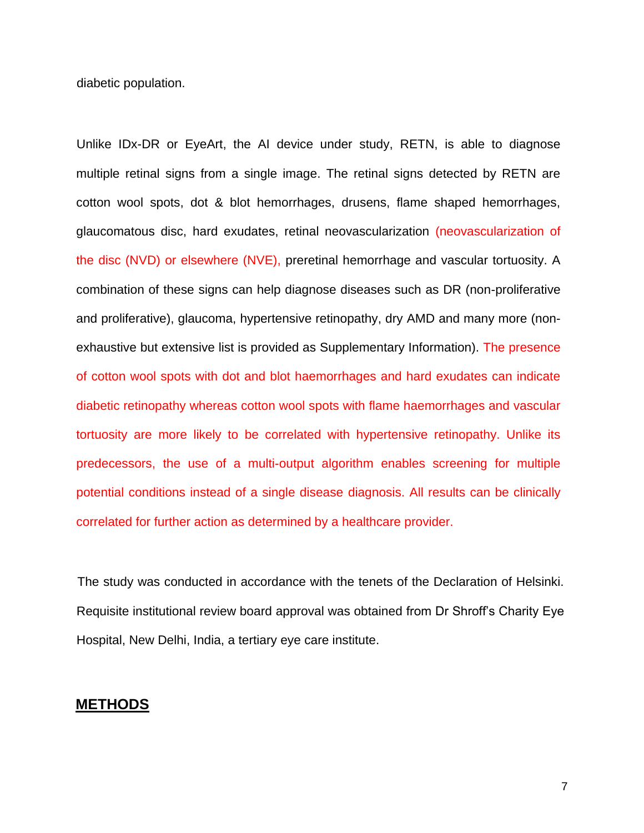diabetic population.

Unlike IDx-DR or EyeArt, the AI device under study, RETN, is able to diagnose multiple retinal signs from a single image. The retinal signs detected by RETN are cotton wool spots, dot & blot hemorrhages, drusens, flame shaped hemorrhages, glaucomatous disc, hard exudates, retinal neovascularization (neovascularization of the disc (NVD) or elsewhere (NVE), preretinal hemorrhage and vascular tortuosity. A combination of these signs can help diagnose diseases such as DR (non-proliferative and proliferative), glaucoma, hypertensive retinopathy, dry AMD and many more (nonexhaustive but extensive list is provided as Supplementary Information). The presence of cotton wool spots with dot and blot haemorrhages and hard exudates can indicate diabetic retinopathy whereas cotton wool spots with flame haemorrhages and vascular tortuosity are more likely to be correlated with hypertensive retinopathy. Unlike its predecessors, the use of a multi-output algorithm enables screening for multiple potential conditions instead of a single disease diagnosis. All results can be clinically correlated for further action as determined by a healthcare provider.

The study was conducted in accordance with the tenets of the Declaration of Helsinki. Requisite institutional review board approval was obtained from Dr Shroff's Charity Eye Hospital, New Delhi, India, a tertiary eye care institute.

#### **METHODS**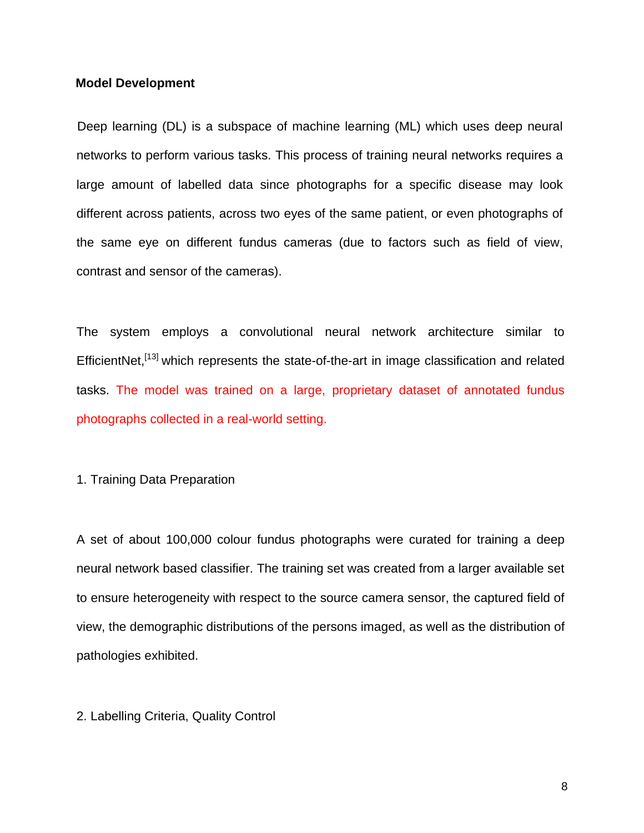#### **Model Development**

Deep learning (DL) is a subspace of machine learning (ML) which uses deep neural networks to perform various tasks. This process of training neural networks requires a large amount of labelled data since photographs for a specific disease may look different across patients, across two eyes of the same patient, or even photographs of the same eye on different fundus cameras (due to factors such as field of view, contrast and sensor of the cameras).

The system employs a convolutional neural network architecture similar to EfficientNet.<sup>[13]</sup> which represents the state-of-the-art in image classification and related tasks. The model was trained on a large, proprietary dataset of annotated fundus photographs collected in a real-world setting.

#### 1. Training Data Preparation

A set of about 100,000 colour fundus photographs were curated for training a deep neural network based classifier. The training set was created from a larger available set to ensure heterogeneity with respect to the source camera sensor, the captured field of view, the demographic distributions of the persons imaged, as well as the distribution of pathologies exhibited.

#### 2. Labelling Criteria, Quality Control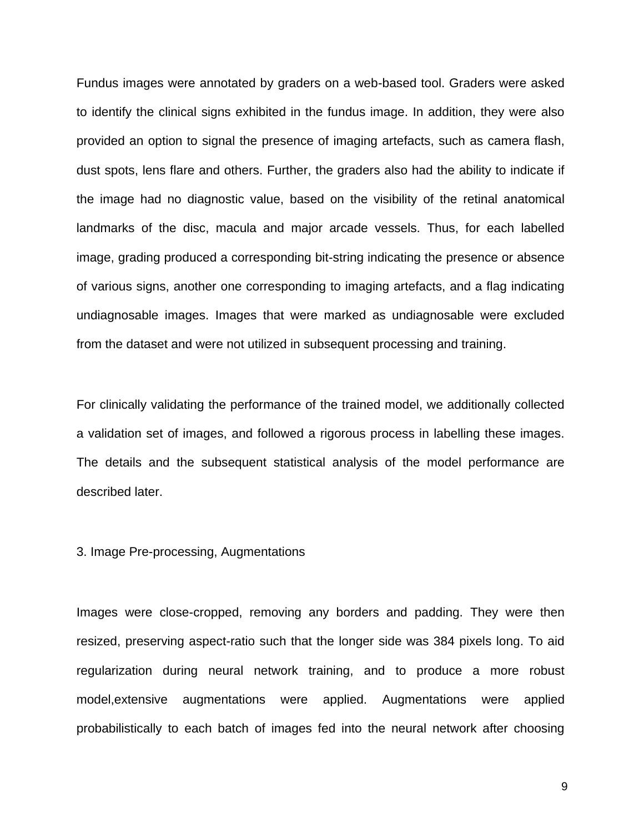Fundus images were annotated by graders on a web-based tool. Graders were asked to identify the clinical signs exhibited in the fundus image. In addition, they were also provided an option to signal the presence of imaging artefacts, such as camera flash, dust spots, lens flare and others. Further, the graders also had the ability to indicate if the image had no diagnostic value, based on the visibility of the retinal anatomical landmarks of the disc, macula and major arcade vessels. Thus, for each labelled image, grading produced a corresponding bit-string indicating the presence or absence of various signs, another one corresponding to imaging artefacts, and a flag indicating undiagnosable images. Images that were marked as undiagnosable were excluded from the dataset and were not utilized in subsequent processing and training.

For clinically validating the performance of the trained model, we additionally collected a validation set of images, and followed a rigorous process in labelling these images. The details and the subsequent statistical analysis of the model performance are described later.

#### 3. Image Pre-processing, Augmentations

Images were close-cropped, removing any borders and padding. They were then resized, preserving aspect-ratio such that the longer side was 384 pixels long. To aid regularization during neural network training, and to produce a more robust model,extensive augmentations were applied. Augmentations were applied probabilistically to each batch of images fed into the neural network after choosing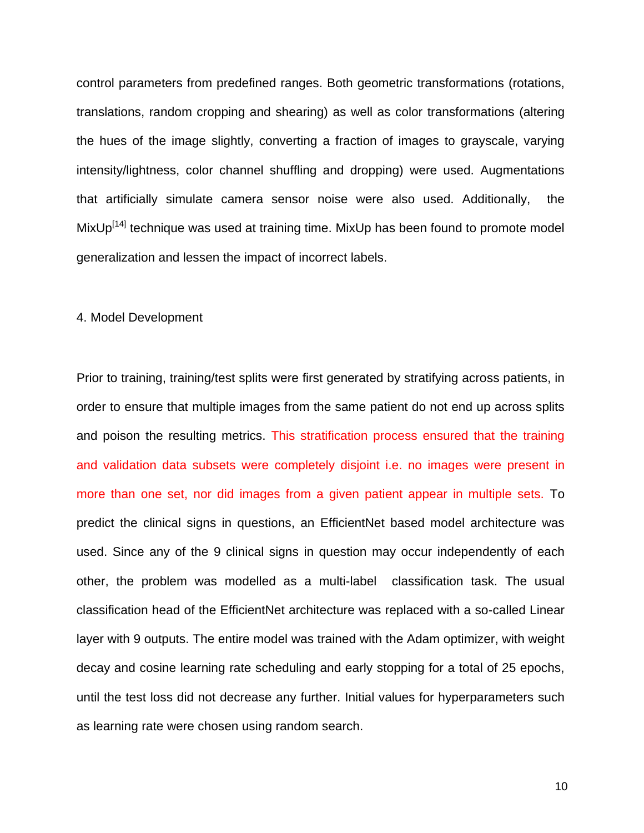control parameters from predefined ranges. Both geometric transformations (rotations, translations, random cropping and shearing) as well as color transformations (altering the hues of the image slightly, converting a fraction of images to grayscale, varying intensity/lightness, color channel shuffling and dropping) were used. Augmentations that artificially simulate camera sensor noise were also used. Additionally, the MixUp<sup>[14]</sup> technique was used at training time. MixUp has been found to promote model generalization and lessen the impact of incorrect labels.

#### 4. Model Development

Prior to training, training/test splits were first generated by stratifying across patients, in order to ensure that multiple images from the same patient do not end up across splits and poison the resulting metrics. This stratification process ensured that the training and validation data subsets were completely disjoint i.e. no images were present in more than one set, nor did images from a given patient appear in multiple sets. To predict the clinical signs in questions, an EfficientNet based model architecture was used. Since any of the 9 clinical signs in question may occur independently of each other, the problem was modelled as a multi-label classification task. The usual classification head of the EfficientNet architecture was replaced with a so-called Linear layer with 9 outputs. The entire model was trained with the Adam optimizer, with weight decay and cosine learning rate scheduling and early stopping for a total of 25 epochs, until the test loss did not decrease any further. Initial values for hyperparameters such as learning rate were chosen using random search.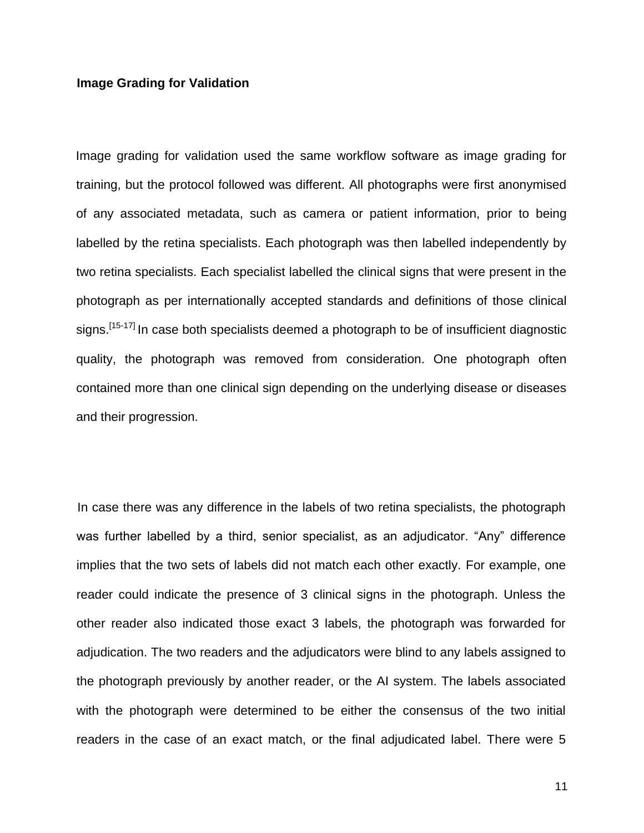#### **Image Grading for Validation**

Image grading for validation used the same workflow software as image grading for training, but the protocol followed was different. All photographs were first anonymised of any associated metadata, such as camera or patient information, prior to being labelled by the retina specialists. Each photograph was then labelled independently by two retina specialists. Each specialist labelled the clinical signs that were present in the photograph as per internationally accepted standards and definitions of those clinical signs.<sup>[15-17]</sup> In case both specialists deemed a photograph to be of insufficient diagnostic quality, the photograph was removed from consideration. One photograph often contained more than one clinical sign depending on the underlying disease or diseases and their progression.

In case there was any difference in the labels of two retina specialists, the photograph was further labelled by a third, senior specialist, as an adjudicator. "Any" difference implies that the two sets of labels did not match each other exactly. For example, one reader could indicate the presence of 3 clinical signs in the photograph. Unless the other reader also indicated those exact 3 labels, the photograph was forwarded for adjudication. The two readers and the adjudicators were blind to any labels assigned to the photograph previously by another reader, or the AI system. The labels associated with the photograph were determined to be either the consensus of the two initial readers in the case of an exact match, or the final adjudicated label. There were 5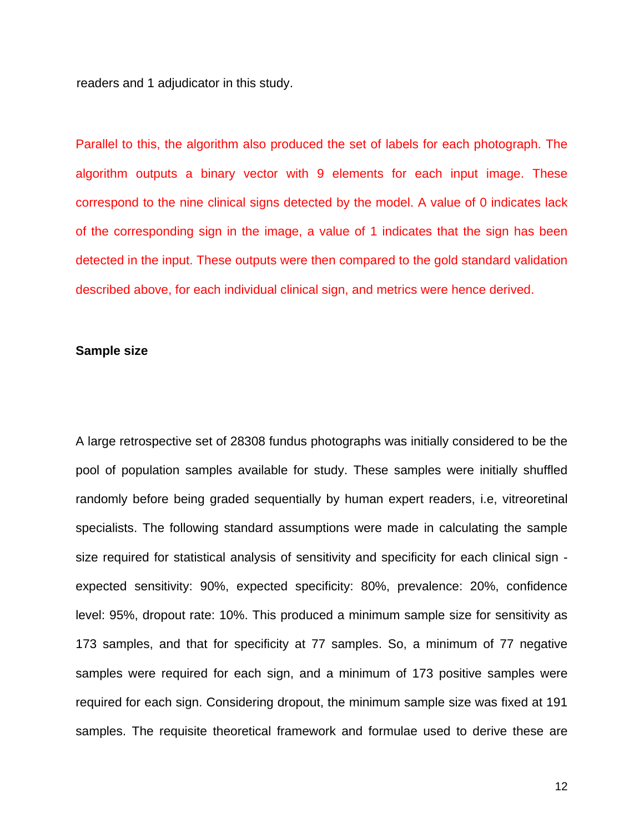readers and 1 adjudicator in this study.

Parallel to this, the algorithm also produced the set of labels for each photograph. The algorithm outputs a binary vector with 9 elements for each input image. These correspond to the nine clinical signs detected by the model. A value of 0 indicates lack of the corresponding sign in the image, a value of 1 indicates that the sign has been detected in the input. These outputs were then compared to the gold standard validation described above, for each individual clinical sign, and metrics were hence derived.

#### **Sample size**

A large retrospective set of 28308 fundus photographs was initially considered to be the pool of population samples available for study. These samples were initially shuffled randomly before being graded sequentially by human expert readers, i.e, vitreoretinal specialists. The following standard assumptions were made in calculating the sample size required for statistical analysis of sensitivity and specificity for each clinical sign expected sensitivity: 90%, expected specificity: 80%, prevalence: 20%, confidence level: 95%, dropout rate: 10%. This produced a minimum sample size for sensitivity as 173 samples, and that for specificity at 77 samples. So, a minimum of 77 negative samples were required for each sign, and a minimum of 173 positive samples were required for each sign. Considering dropout, the minimum sample size was fixed at 191 samples. The requisite theoretical framework and formulae used to derive these are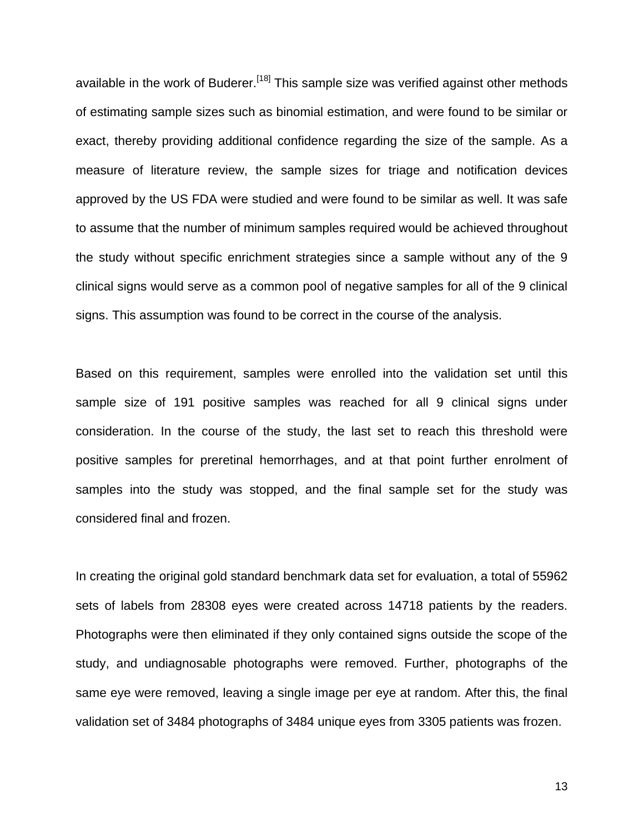available in the work of Buderer.<sup>[18]</sup> This sample size was verified against other methods of estimating sample sizes such as binomial estimation, and were found to be similar or exact, thereby providing additional confidence regarding the size of the sample. As a measure of literature review, the sample sizes for triage and notification devices approved by the US FDA were studied and were found to be similar as well. It was safe to assume that the number of minimum samples required would be achieved throughout the study without specific enrichment strategies since a sample without any of the 9 clinical signs would serve as a common pool of negative samples for all of the 9 clinical signs. This assumption was found to be correct in the course of the analysis.

Based on this requirement, samples were enrolled into the validation set until this sample size of 191 positive samples was reached for all 9 clinical signs under consideration. In the course of the study, the last set to reach this threshold were positive samples for preretinal hemorrhages, and at that point further enrolment of samples into the study was stopped, and the final sample set for the study was considered final and frozen.

In creating the original gold standard benchmark data set for evaluation, a total of 55962 sets of labels from 28308 eyes were created across 14718 patients by the readers. Photographs were then eliminated if they only contained signs outside the scope of the study, and undiagnosable photographs were removed. Further, photographs of the same eye were removed, leaving a single image per eye at random. After this, the final validation set of 3484 photographs of 3484 unique eyes from 3305 patients was frozen.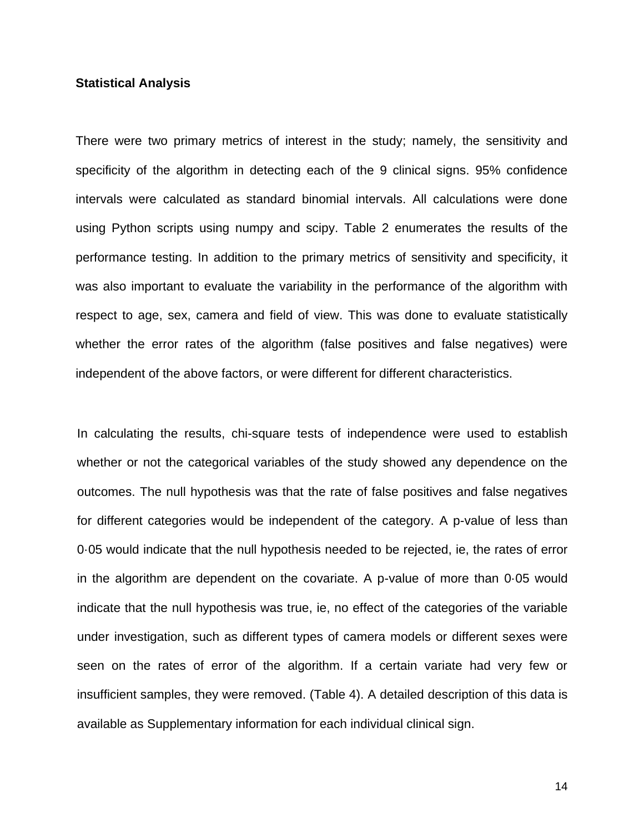#### **Statistical Analysis**

There were two primary metrics of interest in the study; namely, the sensitivity and specificity of the algorithm in detecting each of the 9 clinical signs. 95% confidence intervals were calculated as standard binomial intervals. All calculations were done using Python scripts using numpy and scipy. Table 2 enumerates the results of the performance testing. In addition to the primary metrics of sensitivity and specificity, it was also important to evaluate the variability in the performance of the algorithm with respect to age, sex, camera and field of view. This was done to evaluate statistically whether the error rates of the algorithm (false positives and false negatives) were independent of the above factors, or were different for different characteristics.

In calculating the results, chi-square tests of independence were used to establish whether or not the categorical variables of the study showed any dependence on the outcomes. The null hypothesis was that the rate of false positives and false negatives for different categories would be independent of the category. A p-value of less than 0·05 would indicate that the null hypothesis needed to be rejected, ie, the rates of error in the algorithm are dependent on the covariate. A p-value of more than 0·05 would indicate that the null hypothesis was true, ie, no effect of the categories of the variable under investigation, such as different types of camera models or different sexes were seen on the rates of error of the algorithm. If a certain variate had very few or insufficient samples, they were removed. (Table 4). A detailed description of this data is available as Supplementary information for each individual clinical sign.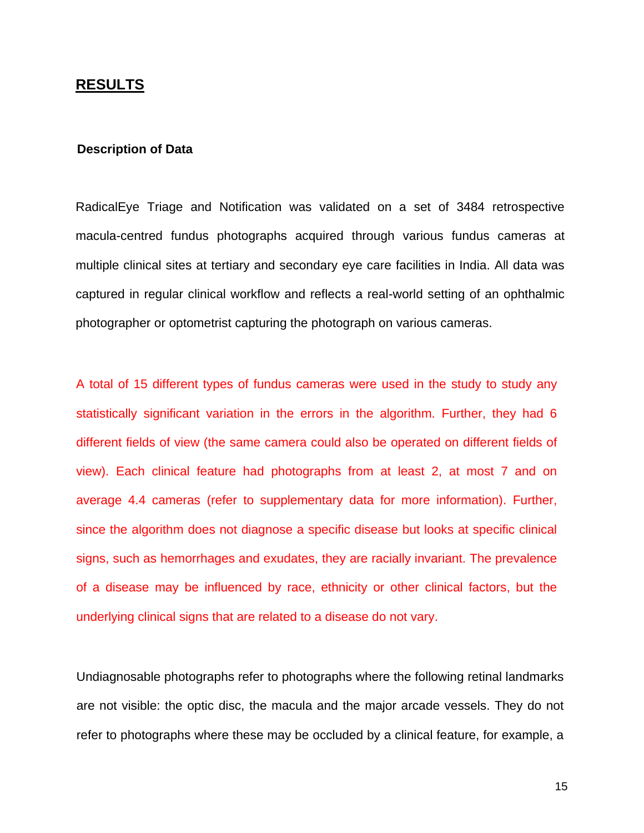## **RESULTS**

#### **Description of Data**

RadicalEye Triage and Notification was validated on a set of 3484 retrospective macula-centred fundus photographs acquired through various fundus cameras at multiple clinical sites at tertiary and secondary eye care facilities in India. All data was captured in regular clinical workflow and reflects a real-world setting of an ophthalmic photographer or optometrist capturing the photograph on various cameras.

A total of 15 different types of fundus cameras were used in the study to study any statistically significant variation in the errors in the algorithm. Further, they had 6 different fields of view (the same camera could also be operated on different fields of view). Each clinical feature had photographs from at least 2, at most 7 and on average 4.4 cameras (refer to supplementary data for more information). Further, since the algorithm does not diagnose a specific disease but looks at specific clinical signs, such as hemorrhages and exudates, they are racially invariant. The prevalence of a disease may be influenced by race, ethnicity or other clinical factors, but the underlying clinical signs that are related to a disease do not vary.

Undiagnosable photographs refer to photographs where the following retinal landmarks are not visible: the optic disc, the macula and the major arcade vessels. They do not refer to photographs where these may be occluded by a clinical feature, for example, a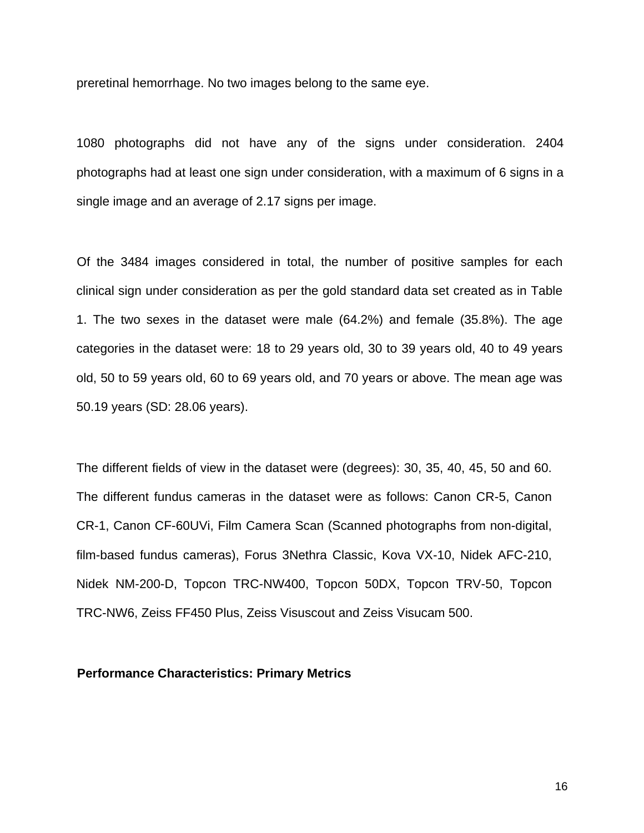preretinal hemorrhage. No two images belong to the same eye.

1080 photographs did not have any of the signs under consideration. 2404 photographs had at least one sign under consideration, with a maximum of 6 signs in a single image and an average of 2.17 signs per image.

Of the 3484 images considered in total, the number of positive samples for each clinical sign under consideration as per the gold standard data set created as in Table 1. The two sexes in the dataset were male (64.2%) and female (35.8%). The age categories in the dataset were: 18 to 29 years old, 30 to 39 years old, 40 to 49 years old, 50 to 59 years old, 60 to 69 years old, and 70 years or above. The mean age was 50.19 years (SD: 28.06 years).

The different fields of view in the dataset were (degrees): 30, 35, 40, 45, 50 and 60. The different fundus cameras in the dataset were as follows: Canon CR-5, Canon CR-1, Canon CF-60UVi, Film Camera Scan (Scanned photographs from non-digital, film-based fundus cameras), Forus 3Nethra Classic, Kova VX-10, Nidek AFC-210, Nidek NM-200-D, Topcon TRC-NW400, Topcon 50DX, Topcon TRV-50, Topcon TRC-NW6, Zeiss FF450 Plus, Zeiss Visuscout and Zeiss Visucam 500.

## **Performance Characteristics: Primary Metrics**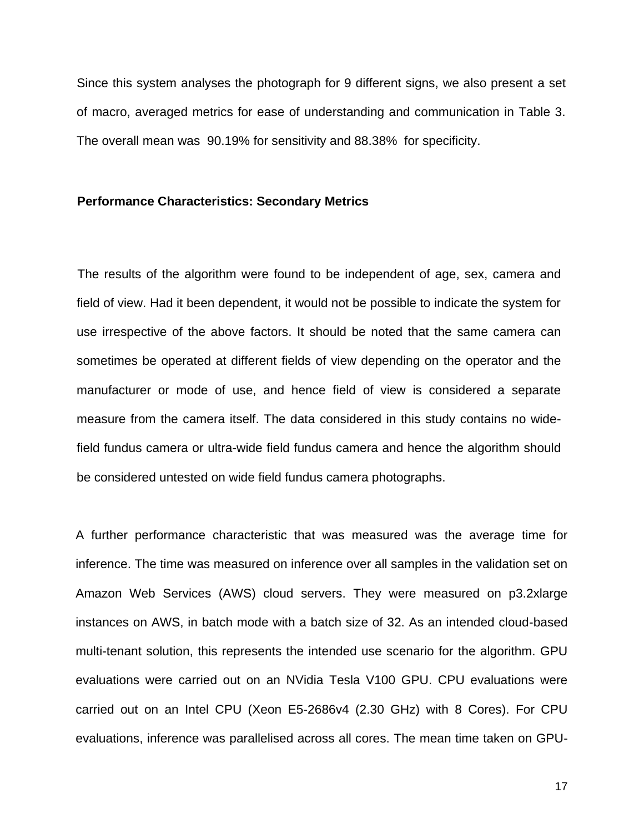Since this system analyses the photograph for 9 different signs, we also present a set of macro, averaged metrics for ease of understanding and communication in Table 3. The overall mean was 90.19% for sensitivity and 88.38% for specificity.

#### **Performance Characteristics: Secondary Metrics**

The results of the algorithm were found to be independent of age, sex, camera and field of view. Had it been dependent, it would not be possible to indicate the system for use irrespective of the above factors. It should be noted that the same camera can sometimes be operated at different fields of view depending on the operator and the manufacturer or mode of use, and hence field of view is considered a separate measure from the camera itself. The data considered in this study contains no widefield fundus camera or ultra-wide field fundus camera and hence the algorithm should be considered untested on wide field fundus camera photographs.

A further performance characteristic that was measured was the average time for inference. The time was measured on inference over all samples in the validation set on Amazon Web Services (AWS) cloud servers. They were measured on p3.2xlarge instances on AWS, in batch mode with a batch size of 32. As an intended cloud-based multi-tenant solution, this represents the intended use scenario for the algorithm. GPU evaluations were carried out on an NVidia Tesla V100 GPU. CPU evaluations were carried out on an Intel CPU (Xeon E5-2686v4 (2.30 GHz) with 8 Cores). For CPU evaluations, inference was parallelised across all cores. The mean time taken on GPU-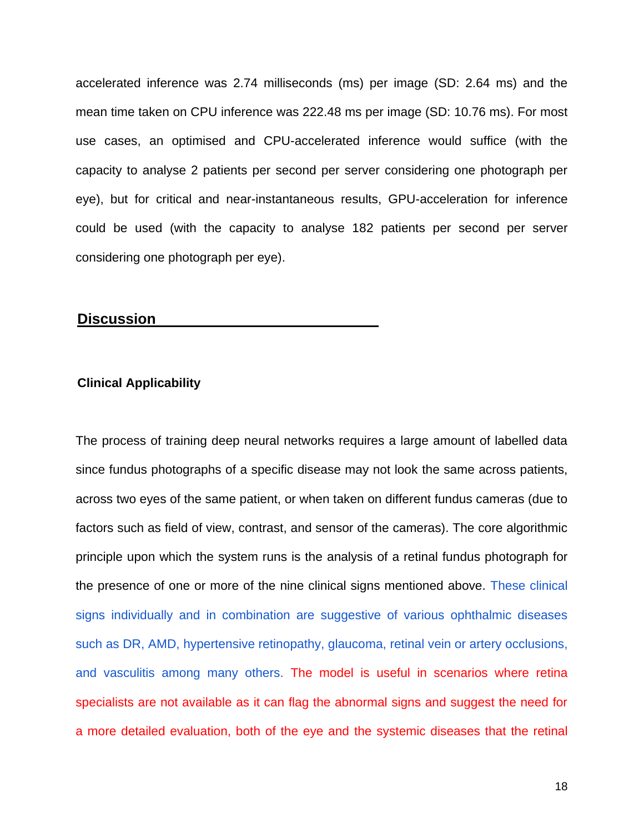accelerated inference was 2.74 milliseconds (ms) per image (SD: 2.64 ms) and the mean time taken on CPU inference was 222.48 ms per image (SD: 10.76 ms). For most use cases, an optimised and CPU-accelerated inference would suffice (with the capacity to analyse 2 patients per second per server considering one photograph per eye), but for critical and near-instantaneous results, GPU-acceleration for inference could be used (with the capacity to analyse 182 patients per second per server considering one photograph per eye).

## **Discussion**

#### **Clinical Applicability**

The process of training deep neural networks requires a large amount of labelled data since fundus photographs of a specific disease may not look the same across patients, across two eyes of the same patient, or when taken on different fundus cameras (due to factors such as field of view, contrast, and sensor of the cameras). The core algorithmic principle upon which the system runs is the analysis of a retinal fundus photograph for the presence of one or more of the nine clinical signs mentioned above. These clinical signs individually and in combination are suggestive of various ophthalmic diseases such as DR, AMD, hypertensive retinopathy, glaucoma, retinal vein or artery occlusions, and vasculitis among many others. The model is useful in scenarios where retina specialists are not available as it can flag the abnormal signs and suggest the need for a more detailed evaluation, both of the eye and the systemic diseases that the retinal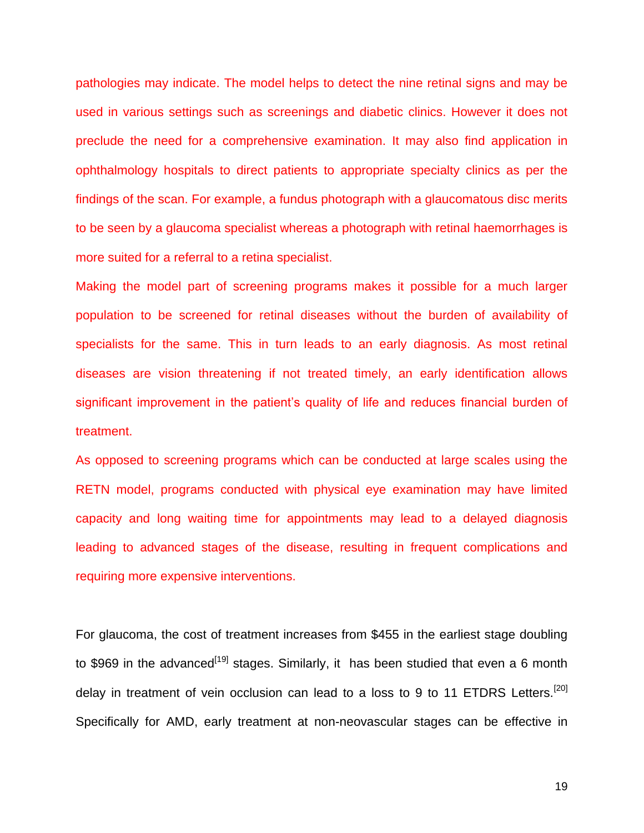pathologies may indicate. The model helps to detect the nine retinal signs and may be used in various settings such as screenings and diabetic clinics. However it does not preclude the need for a comprehensive examination. It may also find application in ophthalmology hospitals to direct patients to appropriate specialty clinics as per the findings of the scan. For example, a fundus photograph with a glaucomatous disc merits to be seen by a glaucoma specialist whereas a photograph with retinal haemorrhages is more suited for a referral to a retina specialist.

Making the model part of screening programs makes it possible for a much larger population to be screened for retinal diseases without the burden of availability of specialists for the same. This in turn leads to an early diagnosis. As most retinal diseases are vision threatening if not treated timely, an early identification allows significant improvement in the patient's quality of life and reduces financial burden of treatment.

As opposed to screening programs which can be conducted at large scales using the RETN model, programs conducted with physical eye examination may have limited capacity and long waiting time for appointments may lead to a delayed diagnosis leading to advanced stages of the disease, resulting in frequent complications and requiring more expensive interventions.

For glaucoma, the cost of treatment increases from \$455 in the earliest stage doubling to \$969 in the advanced<sup>[19]</sup> stages. Similarly, it has been studied that even a 6 month delay in treatment of vein occlusion can lead to a loss to 9 to 11 ETDRS Letters.<sup>[20]</sup> Specifically for AMD, early treatment at non-neovascular stages can be effective in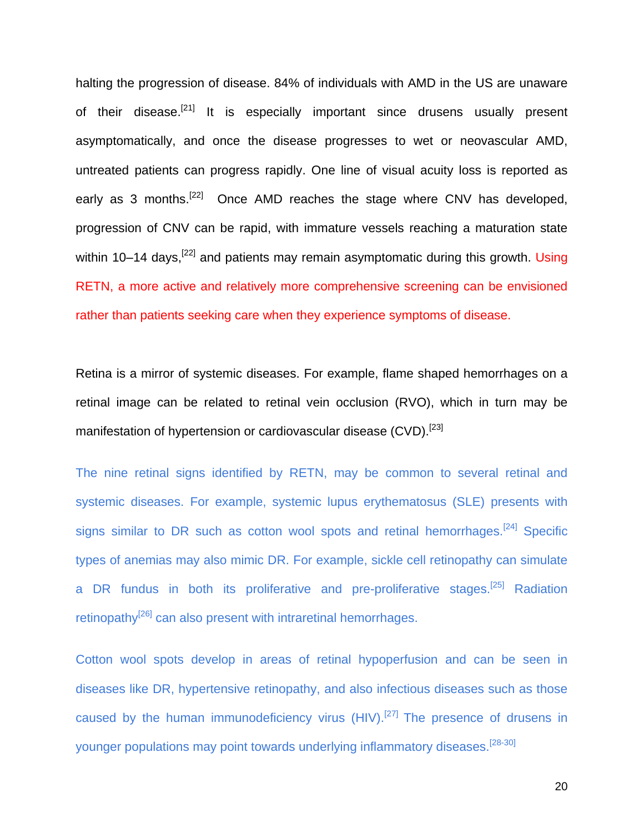halting the progression of disease. 84% of individuals with AMD in the US are unaware of their disease.<sup>[21]</sup> It is especially important since drusens usually present asymptomatically, and once the disease progresses to wet or neovascular AMD, untreated patients can progress rapidly. One line of visual acuity loss is reported as early as 3 months.<sup>[22]</sup> Once AMD reaches the stage where CNV has developed, progression of CNV can be rapid, with immature vessels reaching a maturation state within 10–14 days,  $[22]$  and patients may remain asymptomatic during this growth. Using RETN, a more active and relatively more comprehensive screening can be envisioned rather than patients seeking care when they experience symptoms of disease.

Retina is a mirror of systemic diseases. For example, flame shaped hemorrhages on a retinal image can be related to retinal vein occlusion (RVO), which in turn may be manifestation of hypertension or cardiovascular disease (CVD).<sup>[23]</sup>

The nine retinal signs identified by RETN, may be common to several retinal and systemic diseases. For example, systemic lupus erythematosus (SLE) presents with signs similar to DR such as cotton wool spots and retinal hemorrhages.<sup>[24]</sup> Specific types of anemias may also mimic DR. For example, sickle cell retinopathy can simulate a DR fundus in both its proliferative and pre-proliferative stages.<sup>[25]</sup> Radiation retinopathy<sup>[26]</sup> can also present with intraretinal hemorrhages.

Cotton wool spots develop in areas of retinal hypoperfusion and can be seen in diseases like DR, hypertensive retinopathy, and also infectious diseases such as those caused by the human immunodeficiency virus  $(HIV).$ <sup>[27]</sup> The presence of drusens in younger populations may point towards underlying inflammatory diseases.<sup>[28-30]</sup>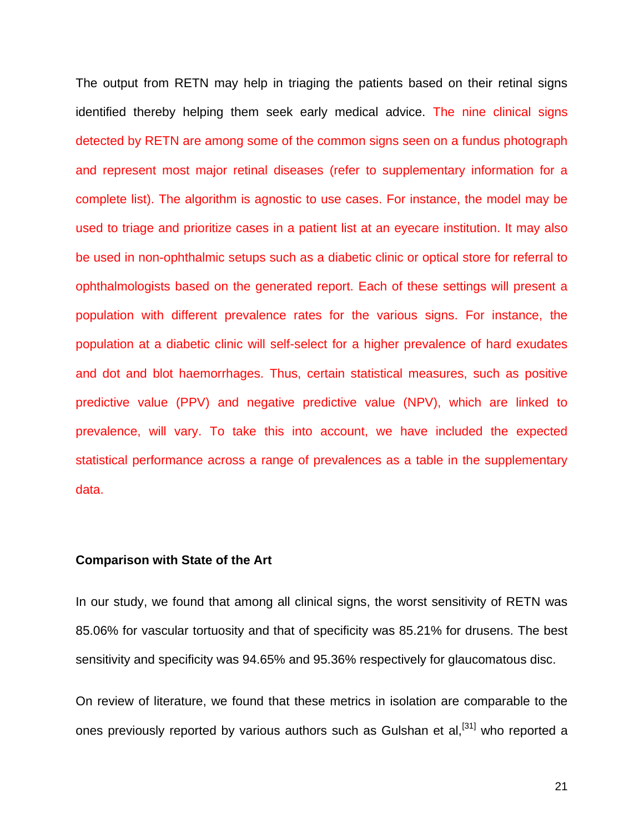The output from RETN may help in triaging the patients based on their retinal signs identified thereby helping them seek early medical advice. The nine clinical signs detected by RETN are among some of the common signs seen on a fundus photograph and represent most major retinal diseases (refer to supplementary information for a complete list). The algorithm is agnostic to use cases. For instance, the model may be used to triage and prioritize cases in a patient list at an eyecare institution. It may also be used in non-ophthalmic setups such as a diabetic clinic or optical store for referral to ophthalmologists based on the generated report. Each of these settings will present a population with different prevalence rates for the various signs. For instance, the population at a diabetic clinic will self-select for a higher prevalence of hard exudates and dot and blot haemorrhages. Thus, certain statistical measures, such as positive predictive value (PPV) and negative predictive value (NPV), which are linked to prevalence, will vary. To take this into account, we have included the expected statistical performance across a range of prevalences as a table in the supplementary data.

#### **Comparison with State of the Art**

In our study, we found that among all clinical signs, the worst sensitivity of RETN was 85.06% for vascular tortuosity and that of specificity was 85.21% for drusens. The best sensitivity and specificity was 94.65% and 95.36% respectively for glaucomatous disc.

On review of literature, we found that these metrics in isolation are comparable to the ones previously reported by various authors such as Gulshan et al,<sup>[31]</sup> who reported a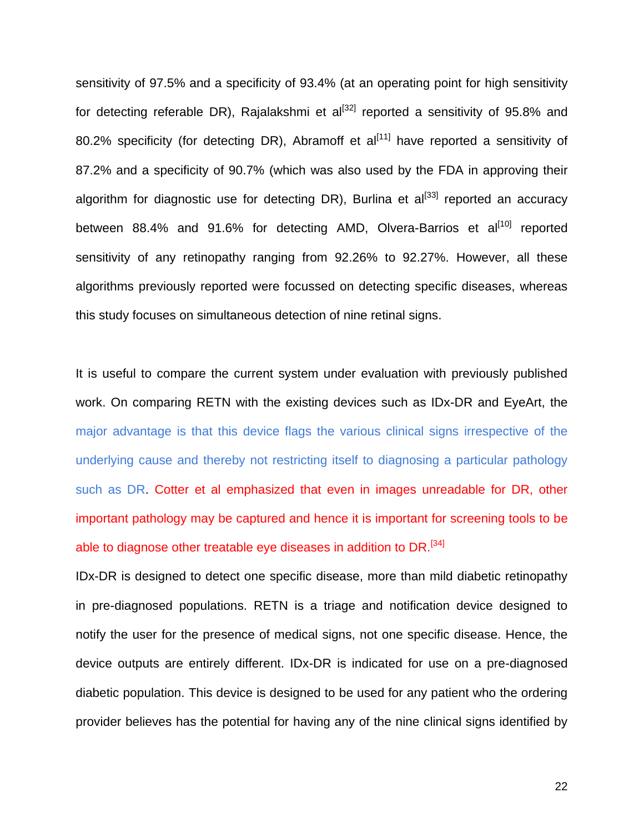sensitivity of 97.5% and a specificity of 93.4% (at an operating point for high sensitivity for detecting referable DR), Rajalakshmi et  $al^{[32]}$  reported a sensitivity of 95.8% and 80.2% specificity (for detecting DR), Abramoff et  $al^{[11]}$  have reported a sensitivity of 87.2% and a specificity of 90.7% (which was also used by the FDA in approving their algorithm for diagnostic use for detecting DR), Burlina et  $al^{[33]}$  reported an accuracy between 88.4% and 91.6% for detecting AMD, Olvera-Barrios et al<sup>[10]</sup> reported sensitivity of any retinopathy ranging from 92.26% to 92.27%. However, all these algorithms previously reported were focussed on detecting specific diseases, whereas this study focuses on simultaneous detection of nine retinal signs.

It is useful to compare the current system under evaluation with previously published work. On comparing RETN with the existing devices such as IDx-DR and EyeArt, the major advantage is that this device flags the various clinical signs irrespective of the underlying cause and thereby not restricting itself to diagnosing a particular pathology such as DR. Cotter et al emphasized that even in images unreadable for DR, other important pathology may be captured and hence it is important for screening tools to be able to diagnose other treatable eye diseases in addition to DR.<sup>[34]</sup>

IDx-DR is designed to detect one specific disease, more than mild diabetic retinopathy in pre-diagnosed populations. RETN is a triage and notification device designed to notify the user for the presence of medical signs, not one specific disease. Hence, the device outputs are entirely different. IDx-DR is indicated for use on a pre-diagnosed diabetic population. This device is designed to be used for any patient who the ordering provider believes has the potential for having any of the nine clinical signs identified by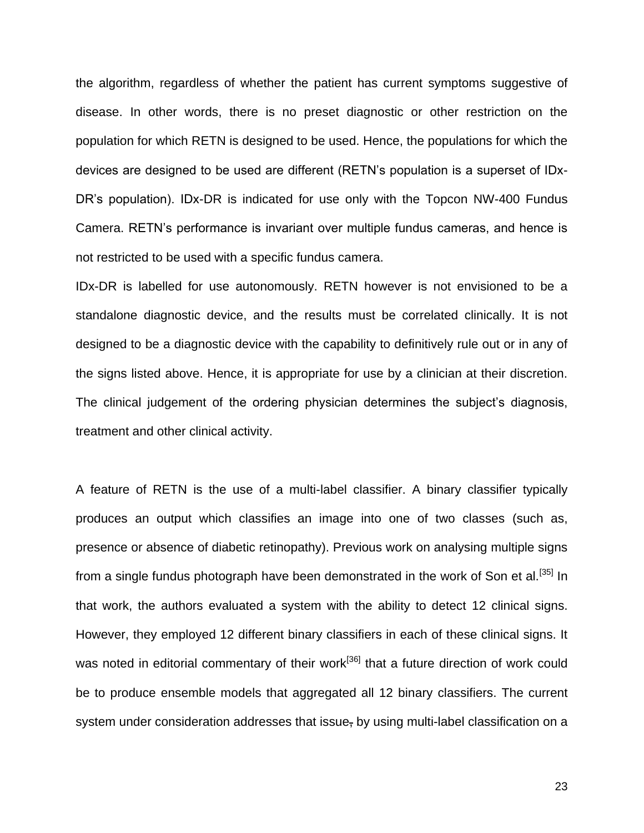the algorithm, regardless of whether the patient has current symptoms suggestive of disease. In other words, there is no preset diagnostic or other restriction on the population for which RETN is designed to be used. Hence, the populations for which the devices are designed to be used are different (RETN's population is a superset of IDx-DR's population). IDx-DR is indicated for use only with the Topcon NW-400 Fundus Camera. RETN's performance is invariant over multiple fundus cameras, and hence is not restricted to be used with a specific fundus camera.

IDx-DR is labelled for use autonomously. RETN however is not envisioned to be a standalone diagnostic device, and the results must be correlated clinically. It is not designed to be a diagnostic device with the capability to definitively rule out or in any of the signs listed above. Hence, it is appropriate for use by a clinician at their discretion. The clinical judgement of the ordering physician determines the subject's diagnosis, treatment and other clinical activity.

A feature of RETN is the use of a multi-label classifier. A binary classifier typically produces an output which classifies an image into one of two classes (such as, presence or absence of diabetic retinopathy). Previous work on analysing multiple signs from a single fundus photograph have been demonstrated in the work of Son et al.<sup>[35]</sup> In that work, the authors evaluated a system with the ability to detect 12 clinical signs. However, they employed 12 different binary classifiers in each of these clinical signs. It was noted in editorial commentary of their work<sup>[36]</sup> that a future direction of work could be to produce ensemble models that aggregated all 12 binary classifiers. The current system under consideration addresses that issue, by using multi-label classification on a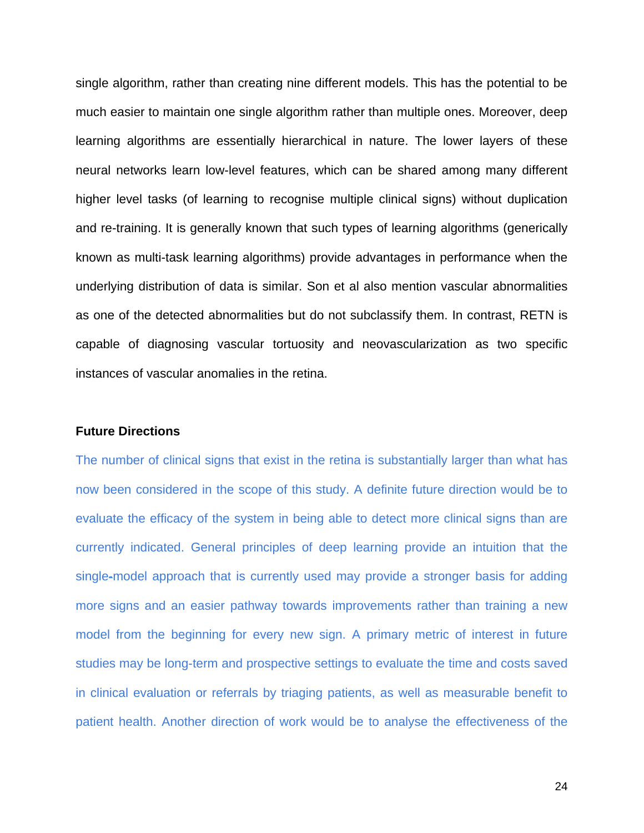single algorithm, rather than creating nine different models. This has the potential to be much easier to maintain one single algorithm rather than multiple ones. Moreover, deep learning algorithms are essentially hierarchical in nature. The lower layers of these neural networks learn low-level features, which can be shared among many different higher level tasks (of learning to recognise multiple clinical signs) without duplication and re-training. It is generally known that such types of learning algorithms (generically known as multi-task learning algorithms) provide advantages in performance when the underlying distribution of data is similar. Son et al also mention vascular abnormalities as one of the detected abnormalities but do not subclassify them. In contrast, RETN is capable of diagnosing vascular tortuosity and neovascularization as two specific instances of vascular anomalies in the retina.

#### **Future Directions**

The number of clinical signs that exist in the retina is substantially larger than what has now been considered in the scope of this study. A definite future direction would be to evaluate the efficacy of the system in being able to detect more clinical signs than are currently indicated. General principles of deep learning provide an intuition that the single-model approach that is currently used may provide a stronger basis for adding more signs and an easier pathway towards improvements rather than training a new model from the beginning for every new sign. A primary metric of interest in future studies may be long-term and prospective settings to evaluate the time and costs saved in clinical evaluation or referrals by triaging patients, as well as measurable benefit to patient health. Another direction of work would be to analyse the effectiveness of the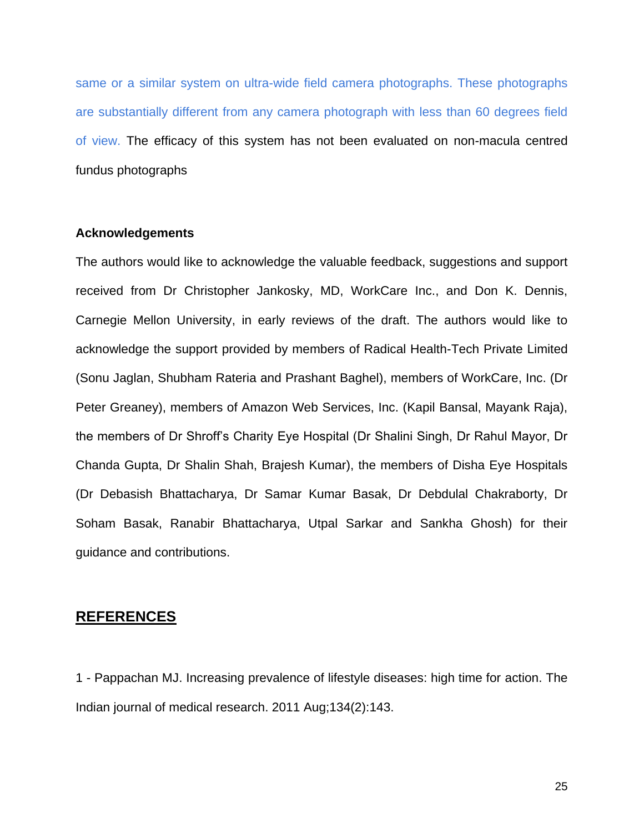same or a similar system on ultra-wide field camera photographs. These photographs are substantially different from any camera photograph with less than 60 degrees field of view. The efficacy of this system has not been evaluated on non-macula centred fundus photographs

#### **Acknowledgements**

The authors would like to acknowledge the valuable feedback, suggestions and support received from Dr Christopher Jankosky, MD, WorkCare Inc., and Don K. Dennis, Carnegie Mellon University, in early reviews of the draft. The authors would like to acknowledge the support provided by members of Radical Health-Tech Private Limited (Sonu Jaglan, Shubham Rateria and Prashant Baghel), members of WorkCare, Inc. (Dr Peter Greaney), members of Amazon Web Services, Inc. (Kapil Bansal, Mayank Raja), the members of Dr Shroff's Charity Eye Hospital (Dr Shalini Singh, Dr Rahul Mayor, Dr Chanda Gupta, Dr Shalin Shah, Brajesh Kumar), the members of Disha Eye Hospitals (Dr Debasish Bhattacharya, Dr Samar Kumar Basak, Dr Debdulal Chakraborty, Dr Soham Basak, Ranabir Bhattacharya, Utpal Sarkar and Sankha Ghosh) for their guidance and contributions.

## **REFERENCES**

1 - Pappachan MJ. Increasing prevalence of lifestyle diseases: high time for action. The Indian journal of medical research. 2011 Aug;134(2):143.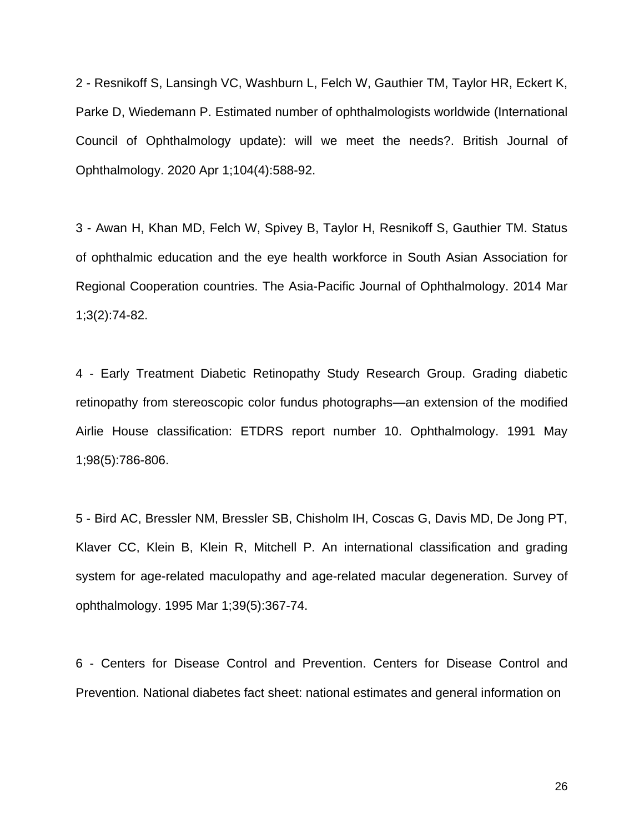2 - Resnikoff S, Lansingh VC, Washburn L, Felch W, Gauthier TM, Taylor HR, Eckert K, Parke D, Wiedemann P. Estimated number of ophthalmologists worldwide (International Council of Ophthalmology update): will we meet the needs?. British Journal of Ophthalmology. 2020 Apr 1;104(4):588-92.

3 - Awan H, Khan MD, Felch W, Spivey B, Taylor H, Resnikoff S, Gauthier TM. Status of ophthalmic education and the eye health workforce in South Asian Association for Regional Cooperation countries. The Asia-Pacific Journal of Ophthalmology. 2014 Mar 1;3(2):74-82.

4 - Early Treatment Diabetic Retinopathy Study Research Group. Grading diabetic retinopathy from stereoscopic color fundus photographs—an extension of the modified Airlie House classification: ETDRS report number 10. Ophthalmology. 1991 May 1;98(5):786-806.

5 - Bird AC, Bressler NM, Bressler SB, Chisholm IH, Coscas G, Davis MD, De Jong PT, Klaver CC, Klein B, Klein R, Mitchell P. An international classification and grading system for age-related maculopathy and age-related macular degeneration. Survey of ophthalmology. 1995 Mar 1;39(5):367-74.

6 - Centers for Disease Control and Prevention. Centers for Disease Control and Prevention. National diabetes fact sheet: national estimates and general information on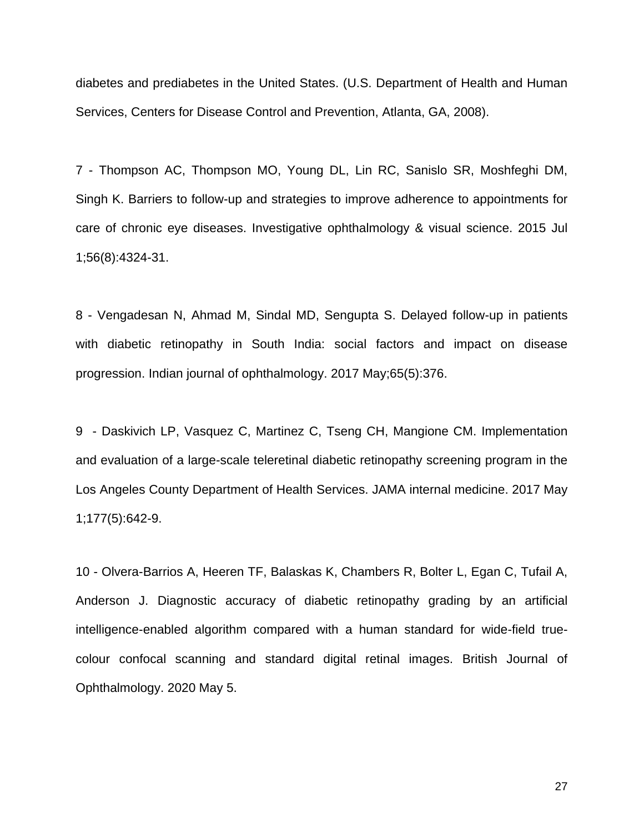diabetes and prediabetes in the United States. (U.S. Department of Health and Human Services, Centers for Disease Control and Prevention, Atlanta, GA, 2008).

7 - Thompson AC, Thompson MO, Young DL, Lin RC, Sanislo SR, Moshfeghi DM, Singh K. Barriers to follow-up and strategies to improve adherence to appointments for care of chronic eye diseases. Investigative ophthalmology & visual science. 2015 Jul 1;56(8):4324-31.

8 - Vengadesan N, Ahmad M, Sindal MD, Sengupta S. Delayed follow-up in patients with diabetic retinopathy in South India: social factors and impact on disease progression. Indian journal of ophthalmology. 2017 May;65(5):376.

9 - Daskivich LP, Vasquez C, Martinez C, Tseng CH, Mangione CM. Implementation and evaluation of a large-scale teleretinal diabetic retinopathy screening program in the Los Angeles County Department of Health Services. JAMA internal medicine. 2017 May 1;177(5):642-9.

10 - Olvera-Barrios A, Heeren TF, Balaskas K, Chambers R, Bolter L, Egan C, Tufail A, Anderson J. Diagnostic accuracy of diabetic retinopathy grading by an artificial intelligence-enabled algorithm compared with a human standard for wide-field truecolour confocal scanning and standard digital retinal images. British Journal of Ophthalmology. 2020 May 5.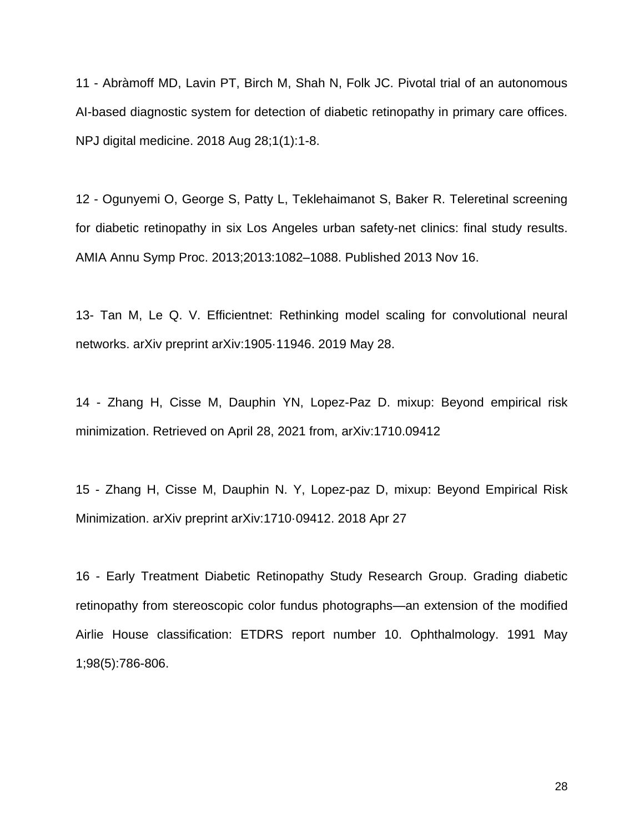11 - Abràmoff MD, Lavin PT, Birch M, Shah N, Folk JC. Pivotal trial of an autonomous AI-based diagnostic system for detection of diabetic retinopathy in primary care offices. NPJ digital medicine. 2018 Aug 28;1(1):1-8.

12 - Ogunyemi O, George S, Patty L, Teklehaimanot S, Baker R. Teleretinal screening for diabetic retinopathy in six Los Angeles urban safety-net clinics: final study results. AMIA Annu Symp Proc. 2013;2013:1082–1088. Published 2013 Nov 16.

13- Tan M, Le Q. V. Efficientnet: Rethinking model scaling for convolutional neural networks. arXiv preprint arXiv:1905·11946. 2019 May 28.

14 - Zhang H, Cisse M, Dauphin YN, Lopez-Paz D. mixup: Beyond empirical risk minimization. Retrieved on April 28, 2021 from, [arXiv:1710.09412](https://arxiv.org/abs/1710.09412)

15 - Zhang H, Cisse M, Dauphin N. Y, Lopez-paz D, mixup: Beyond Empirical Risk Minimization. arXiv preprint arXiv:1710·09412. 2018 Apr 27

16 - Early Treatment Diabetic Retinopathy Study Research Group. Grading diabetic retinopathy from stereoscopic color fundus photographs—an extension of the modified Airlie House classification: ETDRS report number 10. Ophthalmology. 1991 May 1;98(5):786-806.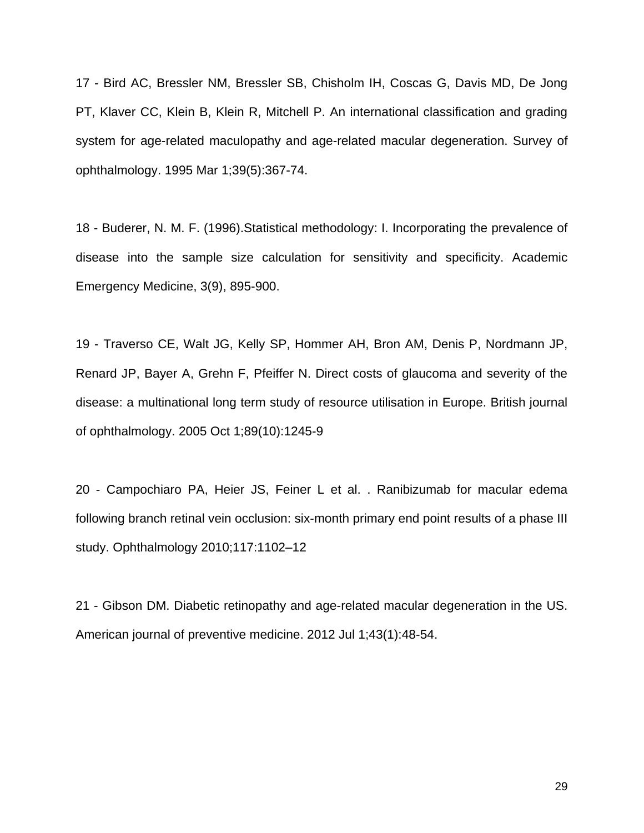17 - Bird AC, Bressler NM, Bressler SB, Chisholm IH, Coscas G, Davis MD, De Jong PT, Klaver CC, Klein B, Klein R, Mitchell P. An international classification and grading system for age-related maculopathy and age-related macular degeneration. Survey of ophthalmology. 1995 Mar 1;39(5):367-74.

18 - Buderer, N. M. F. (1996).Statistical methodology: I. Incorporating the prevalence of disease into the sample size calculation for sensitivity and specificity. Academic Emergency Medicine, 3(9), 895-900.

19 - Traverso CE, Walt JG, Kelly SP, Hommer AH, Bron AM, Denis P, Nordmann JP, Renard JP, Bayer A, Grehn F, Pfeiffer N. Direct costs of glaucoma and severity of the disease: a multinational long term study of resource utilisation in Europe. British journal of ophthalmology. 2005 Oct 1;89(10):1245-9

20 - Campochiaro PA, Heier JS, Feiner L et al. . Ranibizumab for macular edema following branch retinal vein occlusion: six-month primary end point results of a phase III study. Ophthalmology 2010;117:1102–12

21 - Gibson DM. Diabetic retinopathy and age-related macular degeneration in the US. American journal of preventive medicine. 2012 Jul 1;43(1):48-54.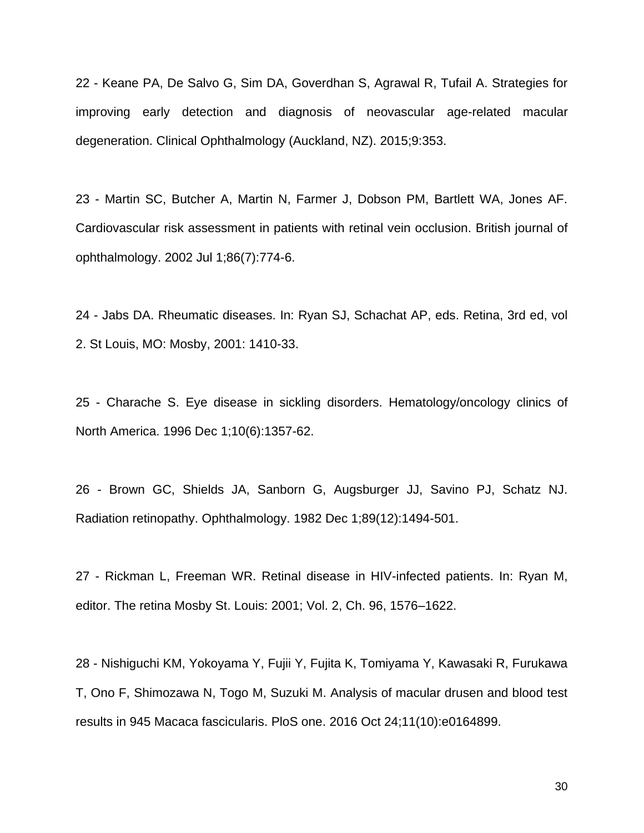22 - Keane PA, De Salvo G, Sim DA, Goverdhan S, Agrawal R, Tufail A. Strategies for improving early detection and diagnosis of neovascular age-related macular degeneration. Clinical Ophthalmology (Auckland, NZ). 2015;9:353.

23 - Martin SC, Butcher A, Martin N, Farmer J, Dobson PM, Bartlett WA, Jones AF. Cardiovascular risk assessment in patients with retinal vein occlusion. British journal of ophthalmology. 2002 Jul 1;86(7):774-6.

24 - Jabs DA. Rheumatic diseases. In: Ryan SJ, Schachat AP, eds. Retina, 3rd ed, vol 2. St Louis, MO: Mosby, 2001: 1410-33.

25 - Charache S. Eye disease in sickling disorders. Hematology/oncology clinics of North America. 1996 Dec 1;10(6):1357-62.

26 - Brown GC, Shields JA, Sanborn G, Augsburger JJ, Savino PJ, Schatz NJ. Radiation retinopathy. Ophthalmology. 1982 Dec 1;89(12):1494-501.

27 - Rickman L, Freeman WR. Retinal disease in HIV-infected patients. In: Ryan M, editor. The retina Mosby St. Louis: 2001; Vol. 2, Ch. 96, 1576–1622.

28 - Nishiguchi KM, Yokoyama Y, Fujii Y, Fujita K, Tomiyama Y, Kawasaki R, Furukawa T, Ono F, Shimozawa N, Togo M, Suzuki M. Analysis of macular drusen and blood test results in 945 Macaca fascicularis. PloS one. 2016 Oct 24;11(10):e0164899.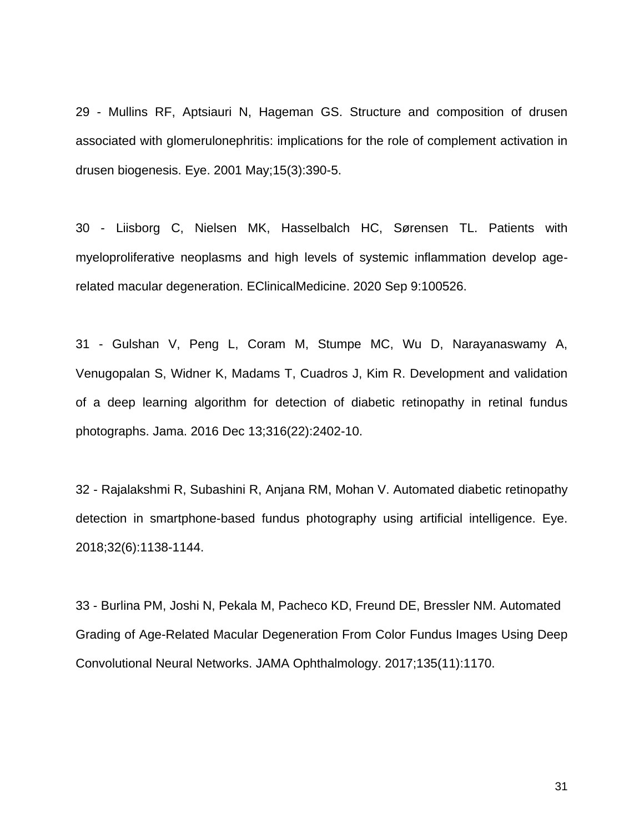29 - Mullins RF, Aptsiauri N, Hageman GS. Structure and composition of drusen associated with glomerulonephritis: implications for the role of complement activation in drusen biogenesis. Eye. 2001 May;15(3):390-5.

30 - Liisborg C, Nielsen MK, Hasselbalch HC, Sørensen TL. Patients with myeloproliferative neoplasms and high levels of systemic inflammation develop agerelated macular degeneration. EClinicalMedicine. 2020 Sep 9:100526.

31 - Gulshan V, Peng L, Coram M, Stumpe MC, Wu D, Narayanaswamy A, Venugopalan S, Widner K, Madams T, Cuadros J, Kim R. Development and validation of a deep learning algorithm for detection of diabetic retinopathy in retinal fundus photographs. Jama. 2016 Dec 13;316(22):2402-10.

32 - Rajalakshmi R, Subashini R, Anjana RM, Mohan V. Automated diabetic retinopathy detection in smartphone-based fundus photography using artificial intelligence. Eye. 2018;32(6):1138-1144.

33 - Burlina PM, Joshi N, Pekala M, Pacheco KD, Freund DE, Bressler NM. Automated Grading of Age-Related Macular Degeneration From Color Fundus Images Using Deep Convolutional Neural Networks. JAMA Ophthalmology. 2017;135(11):1170.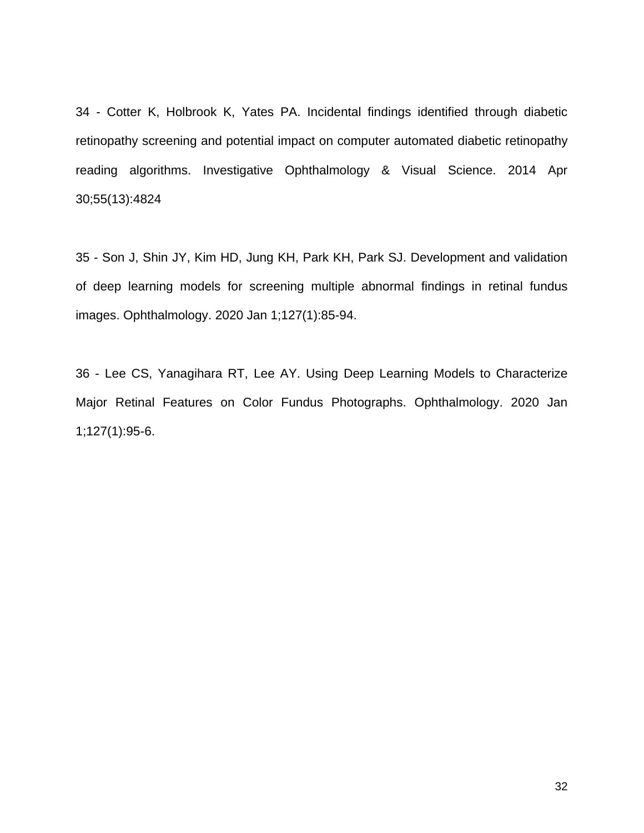34 - Cotter K, Holbrook K, Yates PA. Incidental findings identified through diabetic retinopathy screening and potential impact on computer automated diabetic retinopathy reading algorithms. Investigative Ophthalmology & Visual Science. 2014 Apr 30;55(13):4824

35 - Son J, Shin JY, Kim HD, Jung KH, Park KH, Park SJ. Development and validation of deep learning models for screening multiple abnormal findings in retinal fundus images. Ophthalmology. 2020 Jan 1;127(1):85-94.

36 - Lee CS, Yanagihara RT, Lee AY. Using Deep Learning Models to Characterize Major Retinal Features on Color Fundus Photographs. Ophthalmology. 2020 Jan 1;127(1):95-6.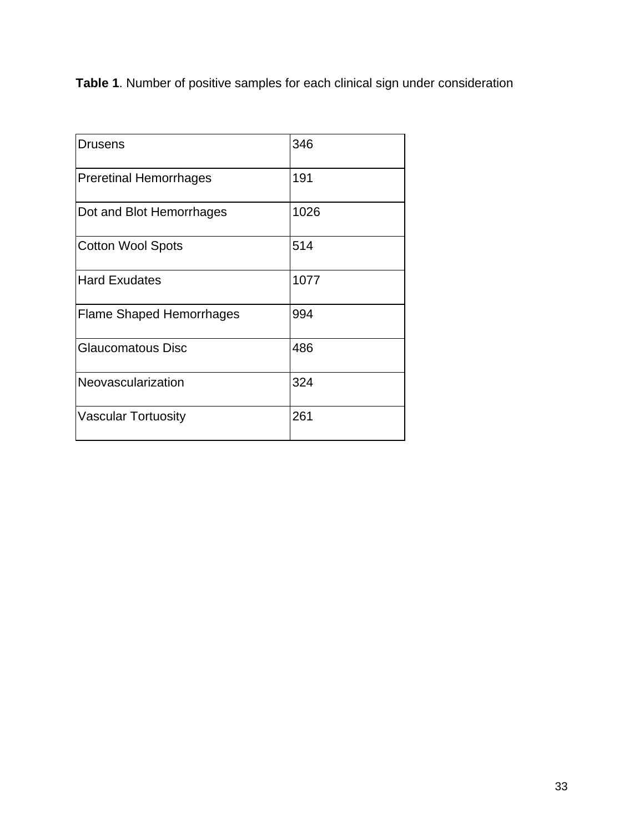**Table 1**. Number of positive samples for each clinical sign under consideration

| <b>Drusens</b>                  | 346  |
|---------------------------------|------|
| <b>Preretinal Hemorrhages</b>   | 191  |
| Dot and Blot Hemorrhages        | 1026 |
| <b>Cotton Wool Spots</b>        | 514  |
| <b>Hard Exudates</b>            | 1077 |
| <b>Flame Shaped Hemorrhages</b> | 994  |
| <b>Glaucomatous Disc</b>        | 486  |
| Neovascularization              | 324  |
| <b>Vascular Tortuosity</b>      | 261  |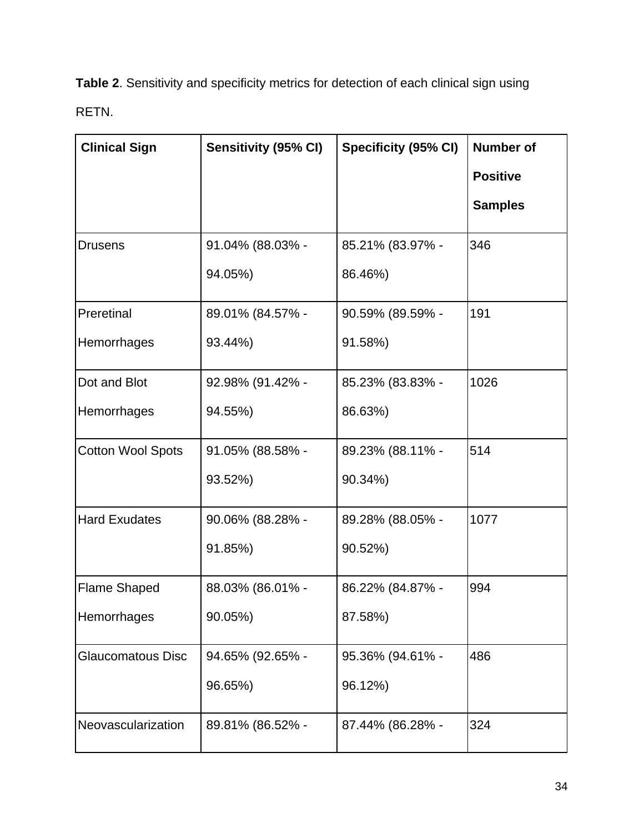**Table 2**. Sensitivity and specificity metrics for detection of each clinical sign using RETN.

| <b>Clinical Sign</b>     | Sensitivity (95% CI) | Specificity (95% CI) | <b>Number of</b> |
|--------------------------|----------------------|----------------------|------------------|
|                          |                      |                      | <b>Positive</b>  |
|                          |                      |                      | <b>Samples</b>   |
| <b>Drusens</b>           | 91.04% (88.03% -     | 85.21% (83.97% -     | 346              |
|                          | 94.05%)              | 86.46%)              |                  |
| Preretinal               | 89.01% (84.57% -     | 90.59% (89.59% -     | 191              |
| Hemorrhages              | 93.44%)              | 91.58%)              |                  |
| Dot and Blot             | 92.98% (91.42% -     | 85.23% (83.83% -     | 1026             |
| Hemorrhages              | 94.55%)              | 86.63%)              |                  |
| <b>Cotton Wool Spots</b> | 91.05% (88.58% -     | 89.23% (88.11% -     | 514              |
|                          | 93.52%)              | 90.34%)              |                  |
| <b>Hard Exudates</b>     | 90.06% (88.28% -     | 89.28% (88.05% -     | 1077             |
|                          | 91.85%)              | 90.52%)              |                  |
| <b>Flame Shaped</b>      | 88.03% (86.01% -     | 86.22% (84.87% -     | 994              |
| Hemorrhages              | 90.05%)              | 87.58%)              |                  |
| <b>Glaucomatous Disc</b> | 94.65% (92.65% -     | 95.36% (94.61% -     | 486              |
|                          | 96.65%)              | 96.12%)              |                  |
| Neovascularization       | 89.81% (86.52% -     | 87.44% (86.28% -     | 324              |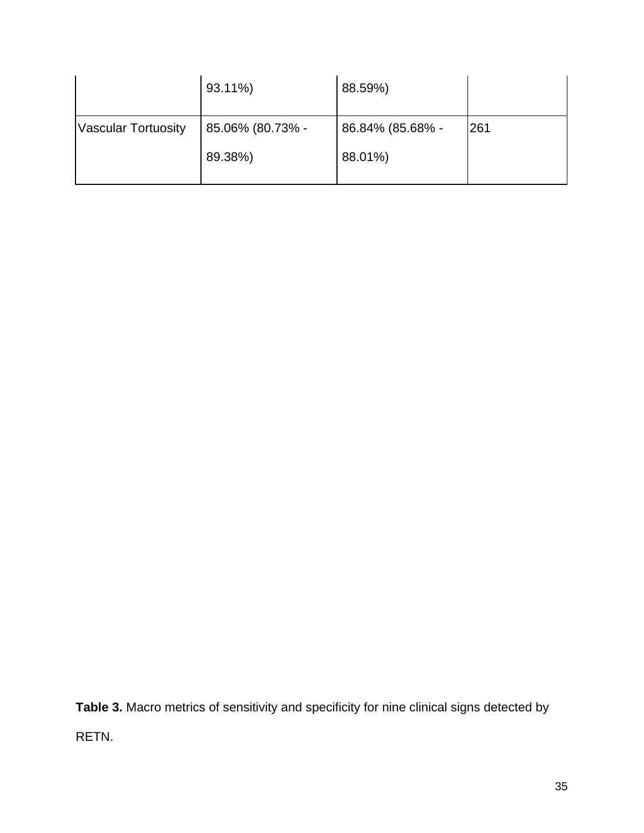|                            | 93.11%)          | 88.59%)          |     |
|----------------------------|------------------|------------------|-----|
| <b>Vascular Tortuosity</b> | 85.06% (80.73% - | 86.84% (85.68% - | 261 |
|                            | 89.38%)          | 88.01%)          |     |

**Table 3.** Macro metrics of sensitivity and specificity for nine clinical signs detected by RETN.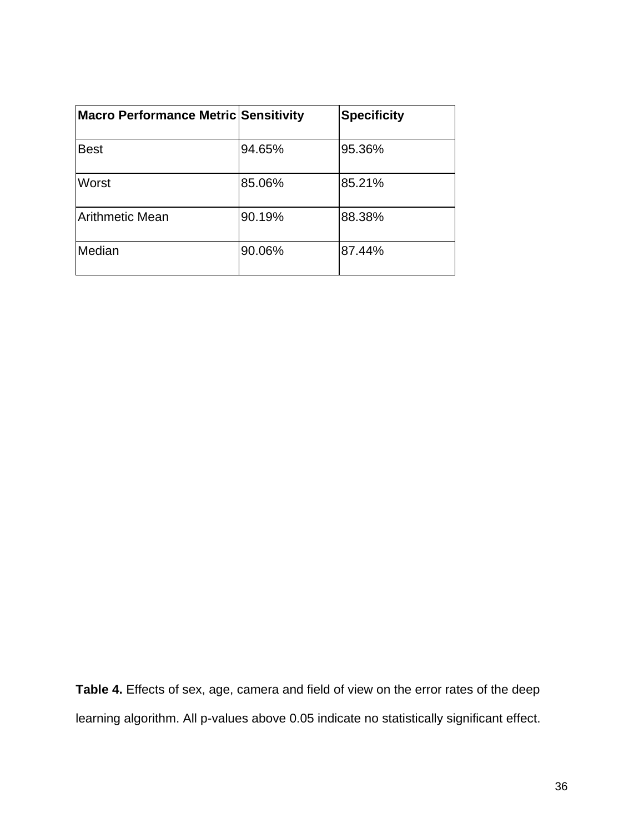| <b>Macro Performance Metric Sensitivity</b> |        | <b>Specificity</b> |
|---------------------------------------------|--------|--------------------|
| <b>Best</b>                                 | 94.65% | 95.36%             |
| Worst                                       | 85.06% | 85.21%             |
| <b>Arithmetic Mean</b>                      | 90.19% | 88.38%             |
| Median                                      | 90.06% | 87.44%             |

**Table 4.** Effects of sex, age, camera and field of view on the error rates of the deep learning algorithm. All p-values above 0.05 indicate no statistically significant effect.